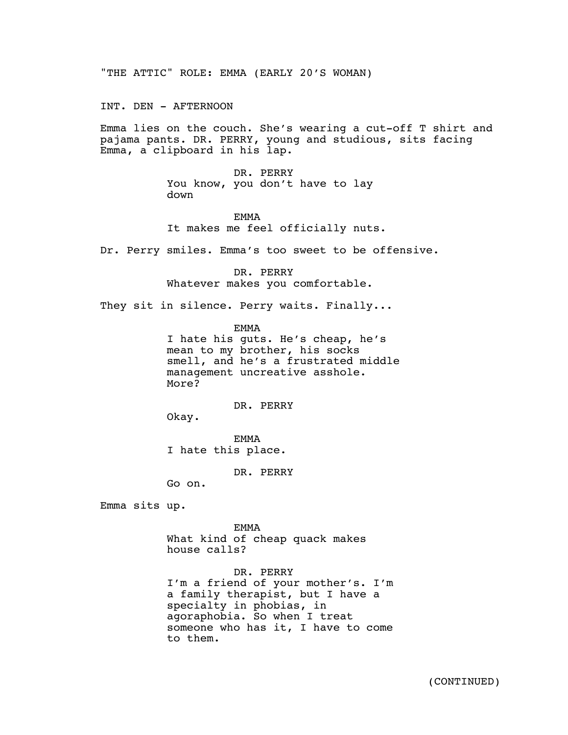"THE ATTIC" ROLE: EMMA (EARLY 20'S WOMAN)

INT. DEN - AFTERNOON

Emma lies on the couch. She's wearing a cut-off T shirt and pajama pants. DR. PERRY, young and studious, sits facing Emma, a clipboard in his lap.

> DR. PERRY You know, you don't have to lay down

EMMA It makes me feel officially nuts.

Dr. Perry smiles. Emma's too sweet to be offensive.

DR. PERRY Whatever makes you comfortable.

They sit in silence. Perry waits. Finally...

EMMA

I hate his guts. He's cheap, he's mean to my brother, his socks smell, and he's a frustrated middle management uncreative asshole. More?

DR. PERRY

Okay.

EMMA I hate this place.

DR. PERRY

Go on.

Emma sits up.

EMMA What kind of cheap quack makes house calls?

DR. PERRY I'm a friend of your mother's. I'm a family therapist, but I have a specialty in phobias, in agoraphobia. So when I treat someone who has it, I have to come to them.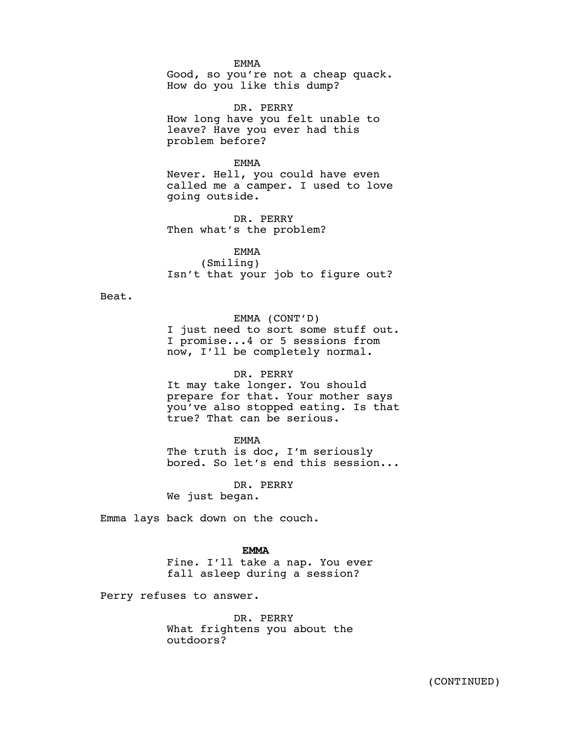EMMA

Good, so you're not a cheap quack. How do you like this dump?

DR. PERRY How long have you felt unable to leave? Have you ever had this problem before?

EMMA

Never. Hell, you could have even called me a camper. I used to love going outside.

DR. PERRY Then what's the problem?

EMMA (Smiling) Isn't that your job to figure out?

Beat.

EMMA (CONT'D)

I just need to sort some stuff out. I promise...4 or 5 sessions from now, I'll be completely normal.

## DR. PERRY

It may take longer. You should prepare for that. Your mother says you've also stopped eating. Is that true? That can be serious.

EMMA

The truth is doc, I'm seriously bored. So let's end this session...

DR. PERRY

We just began.

Emma lays back down on the couch.

## $\mathbf{EMMA}$ **EMMA**

Fine. I'll take a nap. You ever fall asleep during a session?

Perry refuses to answer.

DR. PERRY What frightens you about the outdoors?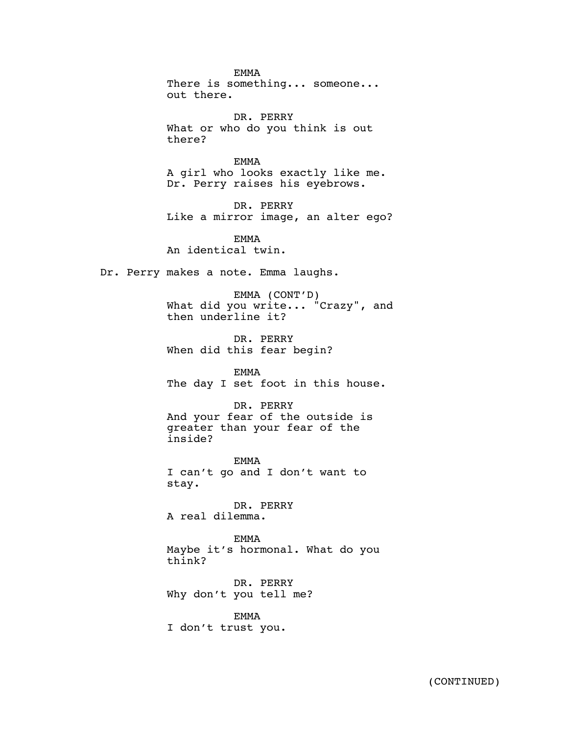EMMA There is something... someone... out there. DR. PERRY What or who do you think is out there? EMMA A girl who looks exactly like me. Dr. Perry raises his eyebrows. DR. PERRY Like a mirror image, an alter ego? EMMA An identical twin. Dr. Perry makes a note. Emma laughs. EMMA (CONT'D) What did you write... "Crazy", and then underline it? DR. PERRY When did this fear begin? EMMA The day I set foot in this house. DR. PERRY And your fear of the outside is greater than your fear of the inside? EMMA I can't go and I don't want to stay. DR. PERRY A real dilemma. EMMA Maybe it's hormonal. What do you think? DR. PERRY Why don't you tell me? EMMA

I don't trust you.